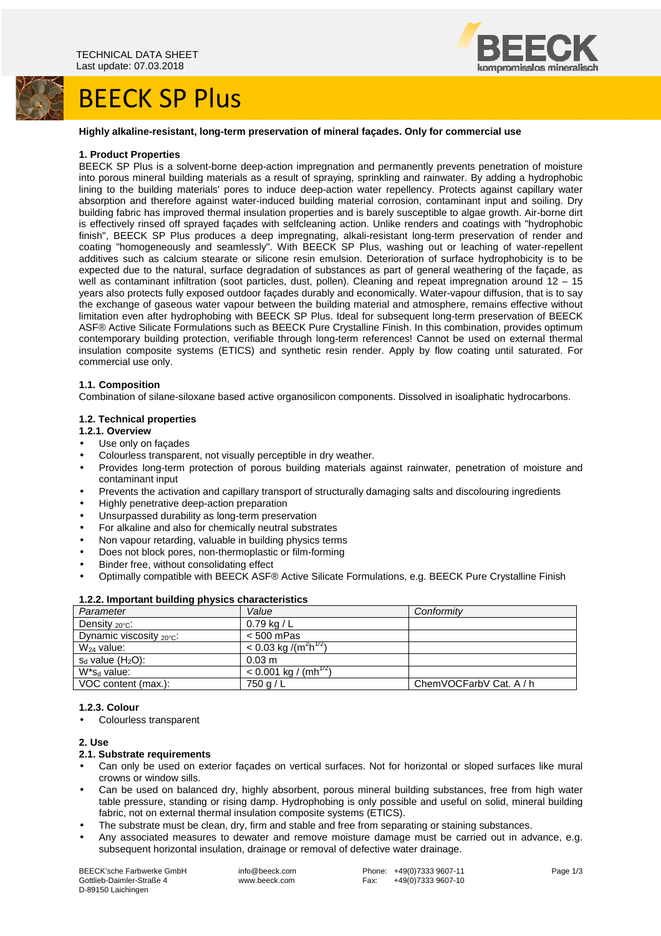# BEECK SP Plus



#### **Highly alkaline-resistant, long-term preservation of mineral façades. Only for commercial use**

#### **1. Product Properties**

BEECK SP Plus is a solvent-borne deep-action impregnation and permanently prevents penetration of moisture into porous mineral building materials as a result of spraying, sprinkling and rainwater. By adding a hydrophobic lining to the building materials' pores to induce deep-action water repellency. Protects against capillary water absorption and therefore against water-induced building material corrosion, contaminant input and soiling. Dry building fabric has improved thermal insulation properties and is barely susceptible to algae growth. Air-borne dirt is effectively rinsed off sprayed façades with selfcleaning action. Unlike renders and coatings with "hydrophobic finish", BEECK SP Plus produces a deep impregnating, alkali-resistant long-term preservation of render and coating "homogeneously and seamlessly". With BEECK SP Plus, washing out or leaching of water-repellent additives such as calcium stearate or silicone resin emulsion. Deterioration of surface hydrophobicity is to be expected due to the natural, surface degradation of substances as part of general weathering of the façade, as well as contaminant infiltration (soot particles, dust, pollen). Cleaning and repeat impregnation around 12 - 15 years also protects fully exposed outdoor façades durably and economically. Water-vapour diffusion, that is to say the exchange of gaseous water vapour between the building material and atmosphere, remains effective without limitation even after hydrophobing with BEECK SP Plus. Ideal for subsequent long-term preservation of BEECK ASF® Active Silicate Formulations such as BEECK Pure Crystalline Finish. In this combination, provides optimum contemporary building protection, verifiable through long-term references! Cannot be used on external thermal insulation composite systems (ETICS) and synthetic resin render. Apply by flow coating until saturated. For commercial use only.

### **1.1. Composition**

Combination of silane-siloxane based active organosilicon components. Dissolved in isoaliphatic hydrocarbons.

### **1.2. Technical properties**

### **1.2.1. Overview**

- Use only on façades
- Colourless transparent, not visually perceptible in dry weather.
- Provides long-term protection of porous building materials against rainwater, penetration of moisture and contaminant input
- Prevents the activation and capillary transport of structurally damaging salts and discolouring ingredients
- Highly penetrative deep-action preparation
- Unsurpassed durability as long-term preservation
- For alkaline and also for chemically neutral substrates
- Non vapour retarding, valuable in building physics terms
- Does not block pores, non-thermoplastic or film-forming
- Binder free, without consolidating effect
- Optimally compatible with BEECK ASF® Active Silicate Formulations, e.g. BEECK Pure Crystalline Finish

| <b>EXERCITIVE CONTRACTLY AND ALL AND THE CONTRACTLY IN THE CONTRACTLY OF THE CONTRACTLY OF THE CONTRACTLY OF THE C</b> |                                                 |                         |
|------------------------------------------------------------------------------------------------------------------------|-------------------------------------------------|-------------------------|
| Parameter                                                                                                              | Value                                           | Conformity              |
| Density $_{20^{\circ}C}$ :                                                                                             | $0.79$ kg / L                                   |                         |
| Dynamic viscosity $_{20^{\circ}C}$ :                                                                                   | $< 500$ mPas                                    |                         |
| $W_{24}$ value:                                                                                                        | $< 0.03$ kg /(m <sup>2</sup> h <sup>1/2</sup> ) |                         |
| $s_d$ value $(H_2O)$ :                                                                                                 | $0.03 \text{ m}$                                |                         |
| $W^*s_d$ value:                                                                                                        | $< 0.001$ kg / (mh <sup>1/2</sup> )             |                         |
| VOC content (max.):                                                                                                    | $750$ g $/L$                                    | ChemVOCFarbV Cat. A / h |
|                                                                                                                        |                                                 |                         |

#### **1.2.2. Important building physics characteristics**

#### **1.2.3. Colour**

• Colourless transparent

### **2. Use**

#### **2.1. Substrate requirements**

- Can only be used on exterior façades on vertical surfaces. Not for horizontal or sloped surfaces like mural crowns or window sills.
- Can be used on balanced dry, highly absorbent, porous mineral building substances, free from high water table pressure, standing or rising damp. Hydrophobing is only possible and useful on solid, mineral building fabric, not on external thermal insulation composite systems (ETICS).
- The substrate must be clean, dry, firm and stable and free from separating or staining substances.
- Any associated measures to dewater and remove moisture damage must be carried out in advance, e.g. subsequent horizontal insulation, drainage or removal of defective water drainage.

BEECK'sche Farbwerke GmbH Gottlieb-Daimler-Straße 4 D-89150 Laichingen

 info@beeck.com www.beeck.com

Phone: +49(0)7333 9607-11<br>Fax: +49(0)7333 9607-10 +49(0)7333 9607-10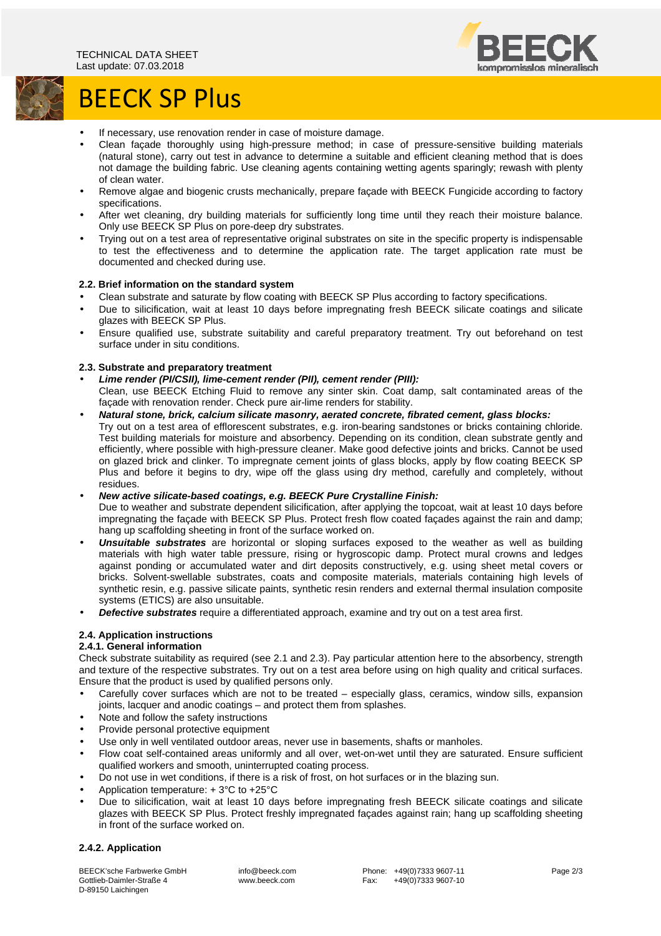



# BEECK SP Plus

- If necessary, use renovation render in case of moisture damage.
- Clean façade thoroughly using high-pressure method; in case of pressure-sensitive building materials (natural stone), carry out test in advance to determine a suitable and efficient cleaning method that is does not damage the building fabric. Use cleaning agents containing wetting agents sparingly; rewash with plenty of clean water.
- Remove algae and biogenic crusts mechanically, prepare façade with BEECK Fungicide according to factory specifications.
- After wet cleaning, dry building materials for sufficiently long time until they reach their moisture balance. Only use BEECK SP Plus on pore-deep dry substrates.
- Trying out on a test area of representative original substrates on site in the specific property is indispensable to test the effectiveness and to determine the application rate. The target application rate must be documented and checked during use.

# **2.2. Brief information on the standard system**

- Clean substrate and saturate by flow coating with BEECK SP Plus according to factory specifications.
- Due to silicification, wait at least 10 days before impregnating fresh BEECK silicate coatings and silicate glazes with BEECK SP Plus.
- Ensure qualified use, substrate suitability and careful preparatory treatment. Try out beforehand on test surface under in situ conditions.

# **2.3. Substrate and preparatory treatment**

- **Lime render (PI/CSII), lime-cement render (PII), cement render (PIII):**
- Clean, use BEECK Etching Fluid to remove any sinter skin. Coat damp, salt contaminated areas of the façade with renovation render. Check pure air-lime renders for stability.
- **Natural stone, brick, calcium silicate masonry, aerated concrete, fibrated cement, glass blocks:**  Try out on a test area of efflorescent substrates, e.g. iron-bearing sandstones or bricks containing chloride. Test building materials for moisture and absorbency. Depending on its condition, clean substrate gently and efficiently, where possible with high-pressure cleaner. Make good defective joints and bricks. Cannot be used on glazed brick and clinker. To impregnate cement joints of glass blocks, apply by flow coating BEECK SP Plus and before it begins to dry, wipe off the glass using dry method, carefully and completely, without residues.
- **New active silicate-based coatings, e.g. BEECK Pure Crystalline Finish:**

Due to weather and substrate dependent silicification, after applying the topcoat, wait at least 10 days before impregnating the façade with BEECK SP Plus. Protect fresh flow coated façades against the rain and damp; hang up scaffolding sheeting in front of the surface worked on.

- **Unsuitable substrates** are horizontal or sloping surfaces exposed to the weather as well as building materials with high water table pressure, rising or hygroscopic damp. Protect mural crowns and ledges against ponding or accumulated water and dirt deposits constructively, e.g. using sheet metal covers or bricks. Solvent-swellable substrates, coats and composite materials, materials containing high levels of synthetic resin, e.g. passive silicate paints, synthetic resin renders and external thermal insulation composite systems (ETICS) are also unsuitable.
- **Defective substrates** require a differentiated approach, examine and try out on a test area first.

# **2.4. Application instructions**

# **2.4.1. General information**

Check substrate suitability as required (see 2.1 and 2.3). Pay particular attention here to the absorbency, strength and texture of the respective substrates. Try out on a test area before using on high quality and critical surfaces. Ensure that the product is used by qualified persons only.

- Carefully cover surfaces which are not to be treated especially glass, ceramics, window sills, expansion joints, lacquer and anodic coatings – and protect them from splashes.
- Note and follow the safety instructions
- Provide personal protective equipment
- Use only in well ventilated outdoor areas, never use in basements, shafts or manholes.
- Flow coat self-contained areas uniformly and all over, wet-on-wet until they are saturated. Ensure sufficient qualified workers and smooth, uninterrupted coating process.
- Do not use in wet conditions, if there is a risk of frost, on hot surfaces or in the blazing sun.
- Application temperature: + 3°C to +25°C
- Due to silicification, wait at least 10 days before impregnating fresh BEECK silicate coatings and silicate glazes with BEECK SP Plus. Protect freshly impregnated façades against rain; hang up scaffolding sheeting in front of the surface worked on.

# **2.4.2. Application**

BEECK'sche Farbwerke GmbH Gottlieb-Daimler-Straße 4 D-89150 Laichingen

 info@beeck.com www.beeck.com